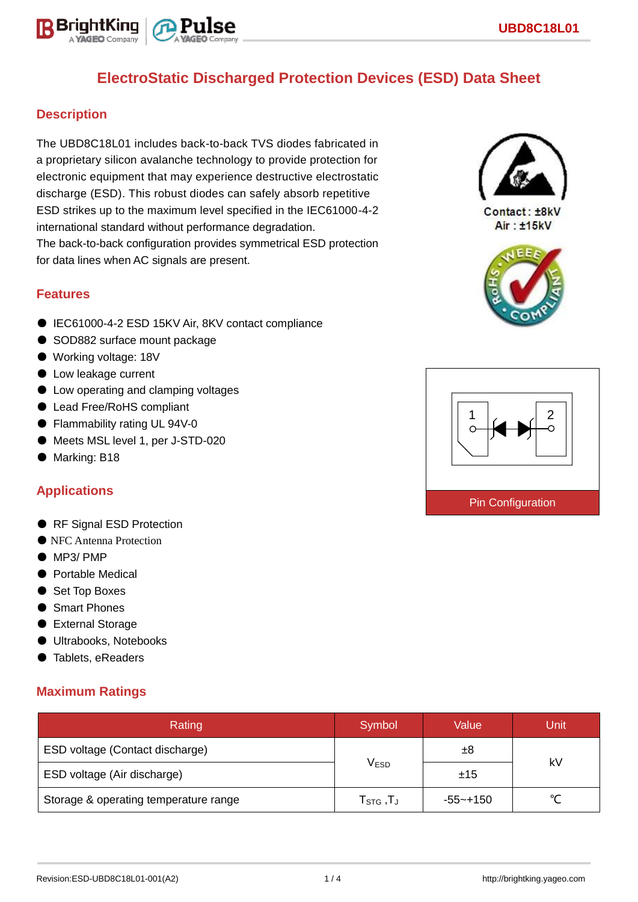

## **Description**

BriahtKino

The UBD8C18L01 includes back-to-back TVS diodes fabricated in a proprietary silicon avalanche technology to provide protection for electronic equipment that may experience destructive electrostatic discharge (ESD). This robust diodes can safely absorb repetitive ESD strikes up to the maximum level specified in the IEC61000-4-2 international standard without performance degradation. The back-to-back configuration provides symmetrical ESD protection for data lines when AC signals are present.

### **Features**

- IEC61000-4-2 ESD 15KV Air, 8KV contact compliance
- SOD882 surface mount package
- Working voltage: 18V
- Low leakage current
- Low operating and clamping voltages
- Lead Free/RoHS compliant
- Flammability rating UL 94V-0
- Meets MSL level 1, per J-STD-020
- Marking: B18

## **Applications**

- RF Signal ESD Protection
- NFC Antenna Protection
- MP3/ PMP
- Portable Medical
- Set Top Boxes
- Smart Phones
- External Storage
- Ultrabooks, Notebooks
- Tablets, eReaders

## **Maximum Ratings**

| Rating                                | Symbol                                      | Value        | Unit   |  |
|---------------------------------------|---------------------------------------------|--------------|--------|--|
| ESD voltage (Contact discharge)       |                                             | ±8           | kV     |  |
| ESD voltage (Air discharge)           | <b>VESD</b>                                 | ±15          |        |  |
| Storage & operating temperature range | ${\sf T}_{\mathsf{STG}}$ ,T $_{\mathsf{J}}$ | $-55 - +150$ | $\sim$ |  |



Contact: ±8kV Air: ±15kV



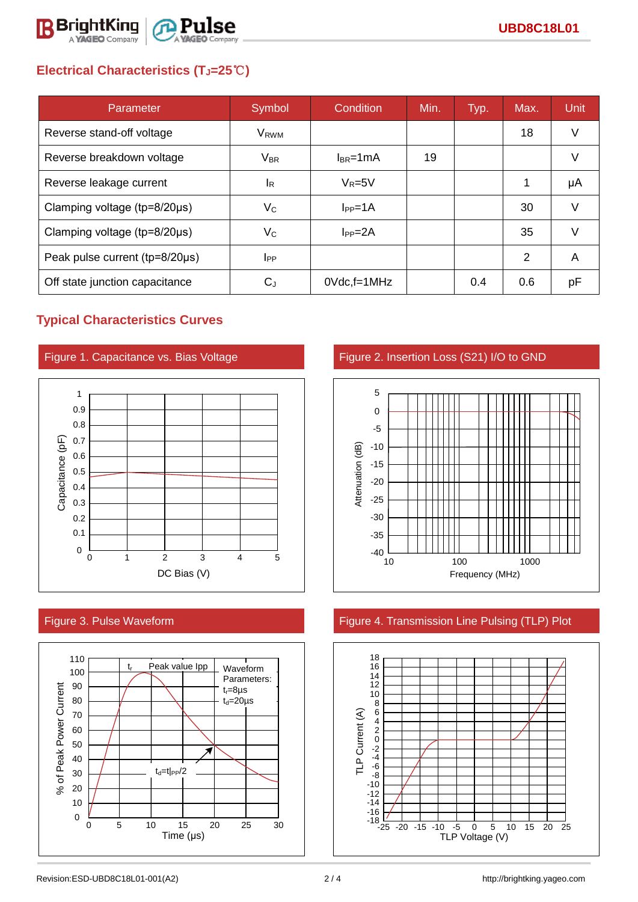

# **Electrical Characteristics (TJ=25**℃**)**

| Parameter                      | Symbol                    | Condition       | Min. | Typ. | Max. | Unit   |
|--------------------------------|---------------------------|-----------------|------|------|------|--------|
| Reverse stand-off voltage      | V <sub>RWM</sub>          |                 |      |      | 18   | V      |
| Reverse breakdown voltage      | $V_{BR}$                  | $I_{BR}$ =1mA   | 19   |      |      | V      |
| Reverse leakage current        | <sup>I</sup> R            | $V_R = 5V$      |      |      | 1    | μA     |
| Clamping voltage (tp=8/20µs)   | $V_{\rm C}$               | $I_{PP} = 1A$   |      |      | 30   | $\vee$ |
| Clamping voltage (tp=8/20µs)   | $\mathsf{V}_{\mathsf{C}}$ | $I_{PP} = 2A$   |      |      | 35   | v      |
| Peak pulse current (tp=8/20µs) | $_{\rm lpp}$              |                 |      |      | 2    | A      |
| Off state junction capacitance | $C_{\rm J}$               | $0$ Vdc, f=1MHz |      | 0.4  | 0.6  | рF     |

## **Typical Characteristics Curves**







Figure 1. Capacitance vs. Bias Voltage Figure 2. Insertion Loss (S21) I/O to GND



## Figure 3. Pulse Waveform **Figure 4. Transmission Line Pulsing (TLP)** Plot

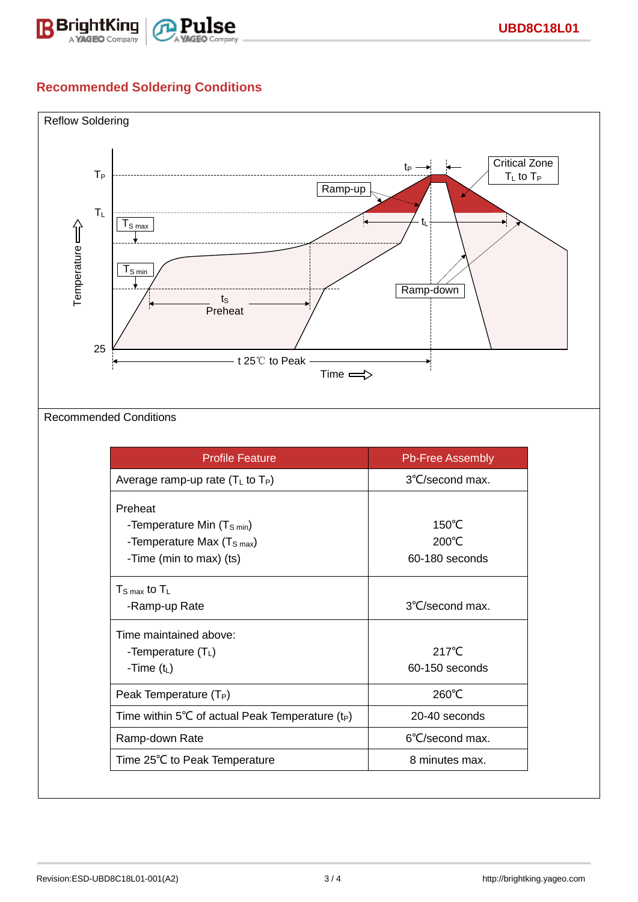

## **Recommended Soldering Conditions**